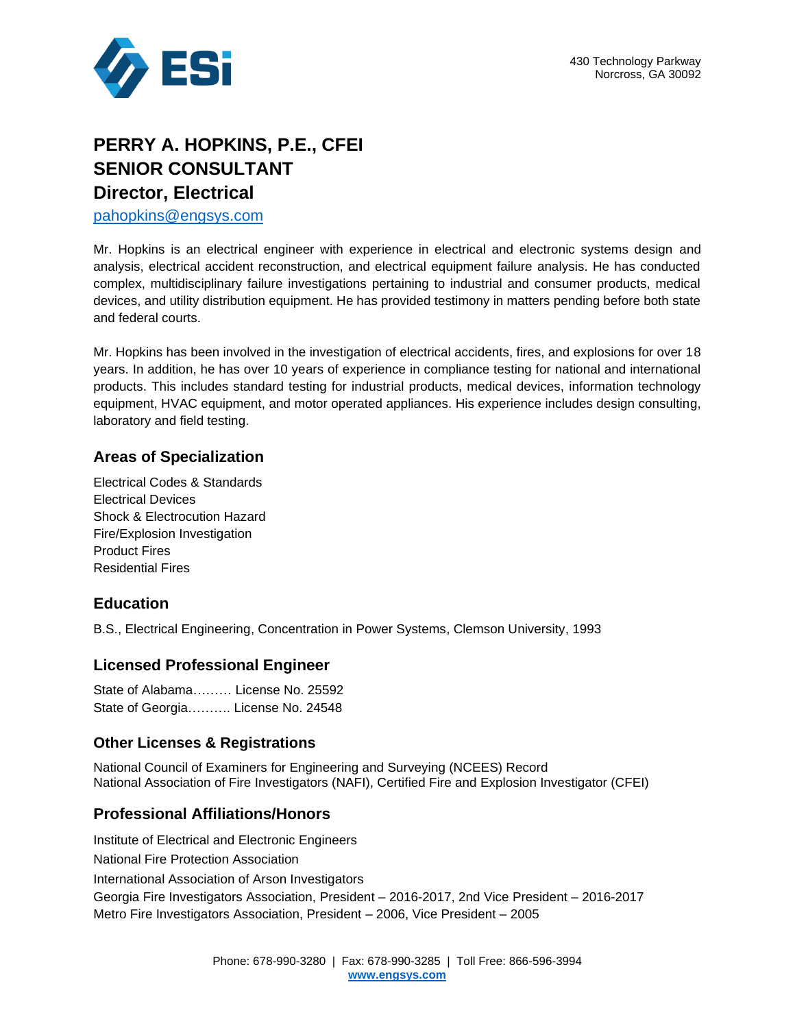

# **PERRY A. HOPKINS, P.E., CFEI SENIOR CONSULTANT Director, Electrical**

[pahopkins@engsys.com](mailto:pahopkins@engsys.com)

Mr. Hopkins is an electrical engineer with experience in electrical and electronic systems design and analysis, electrical accident reconstruction, and electrical equipment failure analysis. He has conducted complex, multidisciplinary failure investigations pertaining to industrial and consumer products, medical devices, and utility distribution equipment. He has provided testimony in matters pending before both state and federal courts.

Mr. Hopkins has been involved in the investigation of electrical accidents, fires, and explosions for over 18 years. In addition, he has over 10 years of experience in compliance testing for national and international products. This includes standard testing for industrial products, medical devices, information technology equipment, HVAC equipment, and motor operated appliances. His experience includes design consulting, laboratory and field testing.

# **Areas of Specialization**

Electrical Codes & Standards Electrical Devices Shock & Electrocution Hazard Fire/Explosion Investigation Product Fires Residential Fires

# **Education**

B.S., Electrical Engineering, Concentration in Power Systems, Clemson University, 1993

### **Licensed Professional Engineer**

State of Alabama……… License No. 25592 State of Georgia………. License No. 24548

# **Other Licenses & Registrations**

National Council of Examiners for Engineering and Surveying (NCEES) Record National Association of Fire Investigators (NAFI), Certified Fire and Explosion Investigator (CFEI)

# **Professional Affiliations/Honors**

Institute of Electrical and Electronic Engineers

National Fire Protection Association

International Association of Arson Investigators

Georgia Fire Investigators Association, President – 2016-2017, 2nd Vice President – 2016-2017 Metro Fire Investigators Association, President – 2006, Vice President – 2005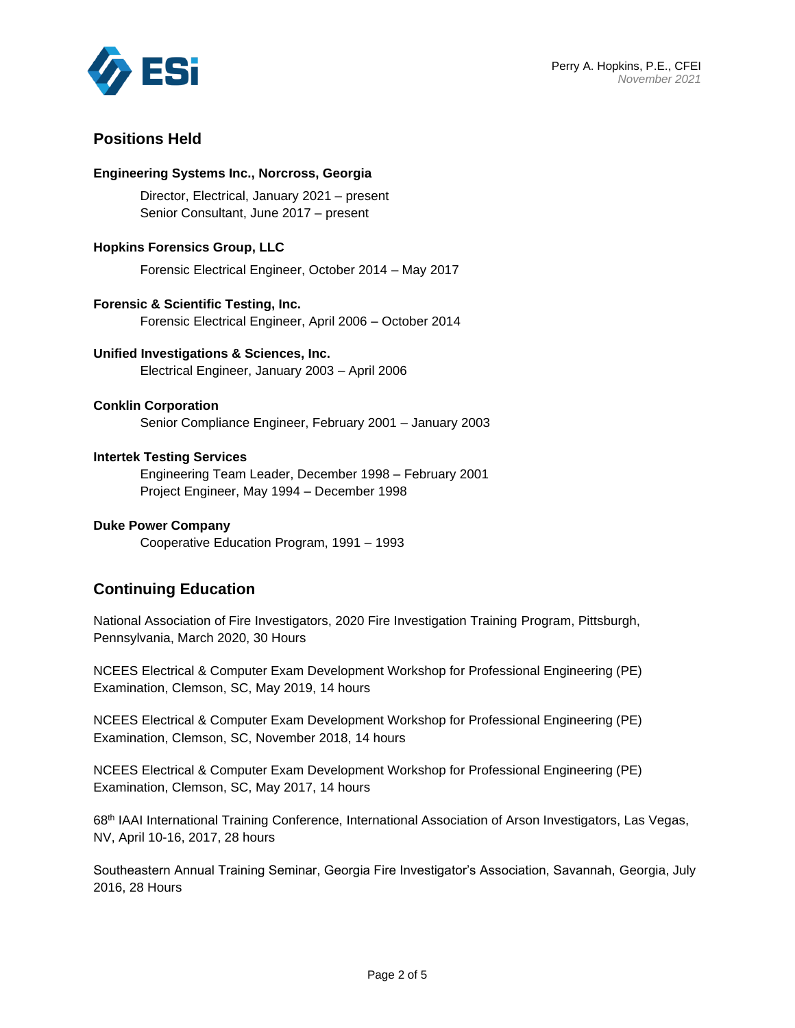

### **Positions Held**

#### **Engineering Systems Inc., Norcross, Georgia**

Director, Electrical, January 2021 – present Senior Consultant, June 2017 – present

#### **Hopkins Forensics Group, LLC**

Forensic Electrical Engineer, October 2014 – May 2017

#### **Forensic & Scientific Testing, Inc.**

Forensic Electrical Engineer, April 2006 – October 2014

#### **Unified Investigations & Sciences, Inc.** Electrical Engineer, January 2003 – April 2006

#### **Conklin Corporation**

Senior Compliance Engineer, February 2001 – January 2003

#### **Intertek Testing Services**

Engineering Team Leader, December 1998 – February 2001 Project Engineer, May 1994 – December 1998

#### **Duke Power Company**

Cooperative Education Program, 1991 – 1993

# **Continuing Education**

National Association of Fire Investigators, 2020 Fire Investigation Training Program, Pittsburgh, Pennsylvania, March 2020, 30 Hours

NCEES Electrical & Computer Exam Development Workshop for Professional Engineering (PE) Examination, Clemson, SC, May 2019, 14 hours

NCEES Electrical & Computer Exam Development Workshop for Professional Engineering (PE) Examination, Clemson, SC, November 2018, 14 hours

NCEES Electrical & Computer Exam Development Workshop for Professional Engineering (PE) Examination, Clemson, SC, May 2017, 14 hours

68th IAAI International Training Conference, International Association of Arson Investigators, Las Vegas, NV, April 10-16, 2017, 28 hours

Southeastern Annual Training Seminar, Georgia Fire Investigator's Association, Savannah, Georgia, July 2016, 28 Hours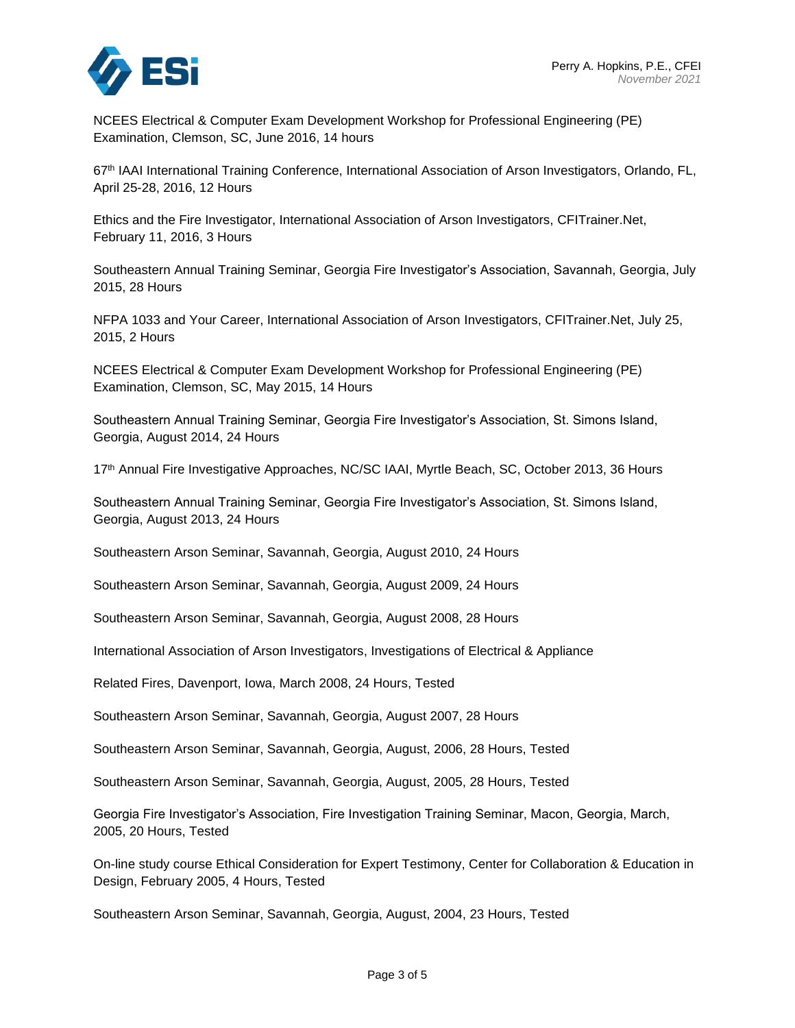

NCEES Electrical & Computer Exam Development Workshop for Professional Engineering (PE) Examination, Clemson, SC, June 2016, 14 hours

67th IAAI International Training Conference, International Association of Arson Investigators, Orlando, FL, April 25-28, 2016, 12 Hours

Ethics and the Fire Investigator, International Association of Arson Investigators, CFITrainer.Net, February 11, 2016, 3 Hours

Southeastern Annual Training Seminar, Georgia Fire Investigator's Association, Savannah, Georgia, July 2015, 28 Hours

NFPA 1033 and Your Career, International Association of Arson Investigators, CFITrainer.Net, July 25, 2015, 2 Hours

NCEES Electrical & Computer Exam Development Workshop for Professional Engineering (PE) Examination, Clemson, SC, May 2015, 14 Hours

Southeastern Annual Training Seminar, Georgia Fire Investigator's Association, St. Simons Island, Georgia, August 2014, 24 Hours

17<sup>th</sup> Annual Fire Investigative Approaches, NC/SC IAAI, Myrtle Beach, SC, October 2013, 36 Hours

Southeastern Annual Training Seminar, Georgia Fire Investigator's Association, St. Simons Island, Georgia, August 2013, 24 Hours

Southeastern Arson Seminar, Savannah, Georgia, August 2010, 24 Hours

Southeastern Arson Seminar, Savannah, Georgia, August 2009, 24 Hours

Southeastern Arson Seminar, Savannah, Georgia, August 2008, 28 Hours

International Association of Arson Investigators, Investigations of Electrical & Appliance

Related Fires, Davenport, Iowa, March 2008, 24 Hours, Tested

Southeastern Arson Seminar, Savannah, Georgia, August 2007, 28 Hours

Southeastern Arson Seminar, Savannah, Georgia, August, 2006, 28 Hours, Tested

Southeastern Arson Seminar, Savannah, Georgia, August, 2005, 28 Hours, Tested

Georgia Fire Investigator's Association, Fire Investigation Training Seminar, Macon, Georgia, March, 2005, 20 Hours, Tested

On-line study course Ethical Consideration for Expert Testimony, Center for Collaboration & Education in Design, February 2005, 4 Hours, Tested

Southeastern Arson Seminar, Savannah, Georgia, August, 2004, 23 Hours, Tested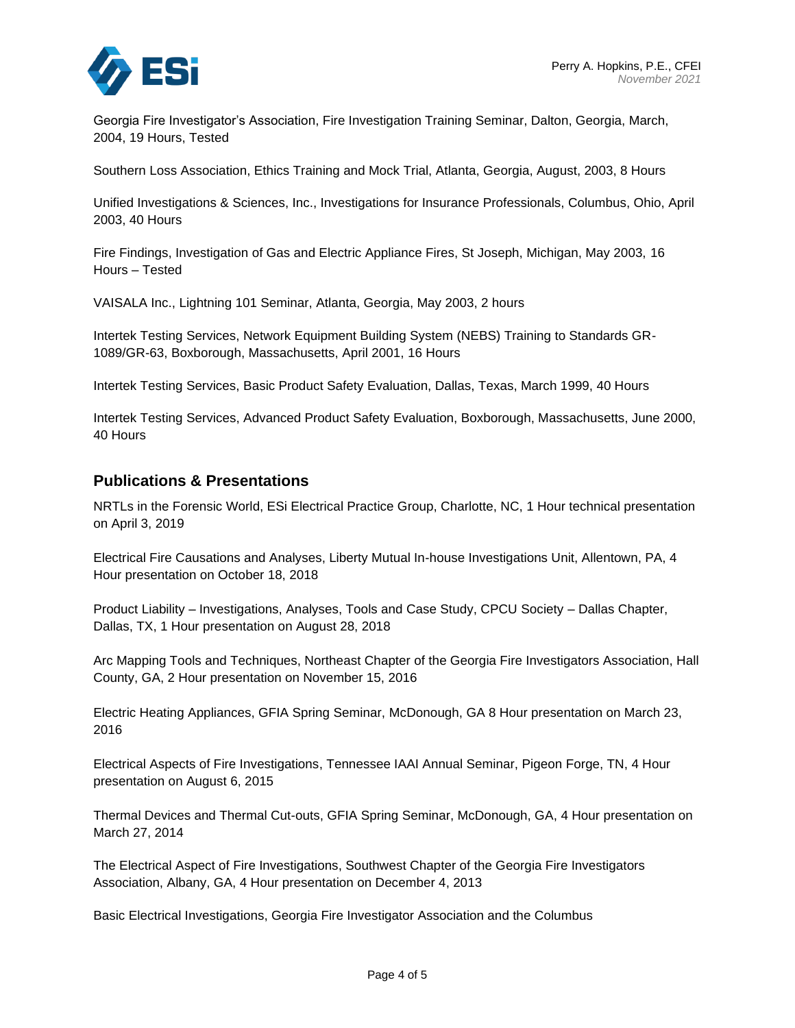

Georgia Fire Investigator's Association, Fire Investigation Training Seminar, Dalton, Georgia, March, 2004, 19 Hours, Tested

Southern Loss Association, Ethics Training and Mock Trial, Atlanta, Georgia, August, 2003, 8 Hours

Unified Investigations & Sciences, Inc., Investigations for Insurance Professionals, Columbus, Ohio, April 2003, 40 Hours

Fire Findings, Investigation of Gas and Electric Appliance Fires, St Joseph, Michigan, May 2003, 16 Hours – Tested

VAISALA Inc., Lightning 101 Seminar, Atlanta, Georgia, May 2003, 2 hours

Intertek Testing Services, Network Equipment Building System (NEBS) Training to Standards GR-1089/GR-63, Boxborough, Massachusetts, April 2001, 16 Hours

Intertek Testing Services, Basic Product Safety Evaluation, Dallas, Texas, March 1999, 40 Hours

Intertek Testing Services, Advanced Product Safety Evaluation, Boxborough, Massachusetts, June 2000, 40 Hours

### **Publications & Presentations**

NRTLs in the Forensic World, ESi Electrical Practice Group, Charlotte, NC, 1 Hour technical presentation on April 3, 2019

Electrical Fire Causations and Analyses, Liberty Mutual In-house Investigations Unit, Allentown, PA, 4 Hour presentation on October 18, 2018

Product Liability – Investigations, Analyses, Tools and Case Study, CPCU Society – Dallas Chapter, Dallas, TX, 1 Hour presentation on August 28, 2018

Arc Mapping Tools and Techniques, Northeast Chapter of the Georgia Fire Investigators Association, Hall County, GA, 2 Hour presentation on November 15, 2016

Electric Heating Appliances, GFIA Spring Seminar, McDonough, GA 8 Hour presentation on March 23, 2016

Electrical Aspects of Fire Investigations, Tennessee IAAI Annual Seminar, Pigeon Forge, TN, 4 Hour presentation on August 6, 2015

Thermal Devices and Thermal Cut-outs, GFIA Spring Seminar, McDonough, GA, 4 Hour presentation on March 27, 2014

The Electrical Aspect of Fire Investigations, Southwest Chapter of the Georgia Fire Investigators Association, Albany, GA, 4 Hour presentation on December 4, 2013

Basic Electrical Investigations, Georgia Fire Investigator Association and the Columbus